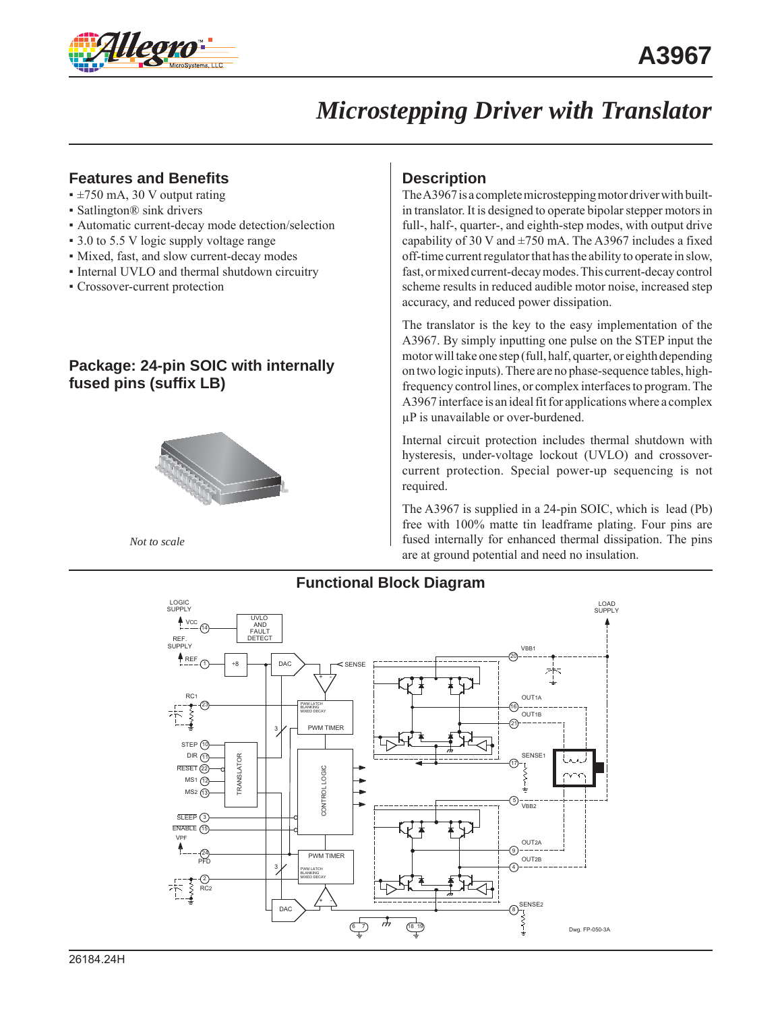

# *Microstepping Driver with Translator*

## **Features and Benefits**

- ±750 mA, 30 V output rating
- Satlington® sink drivers
- Automatic current-decay mode detection/selection
- 3.0 to 5.5 V logic supply voltage range
- Mixed, fast, and slow current-decay modes
- Internal UVLO and thermal shutdown circuitry
- Crossover-current protection

### **Package: 24-pin SOIC with internally fused pins (suffix LB)**



*Not to scale*

### **Description**

The A3967 is a complete microstepping motor driver with builtin translator. It is designed to operate bipolar stepper motors in full-, half-, quarter-, and eighth-step modes, with output drive capability of 30 V and  $\pm$ 750 mA. The A3967 includes a fixed off-time current regulator that has the ability to operate in slow, fast, or mixed current-decay modes. This current-decay control scheme results in reduced audible motor noise, increased step accuracy, and reduced power dissipation.

The translator is the key to the easy implementation of the A3967. By simply inputting one pulse on the STEP input the motor will take one step (full, half, quarter, or eighth depending on two logic inputs). There are no phase-sequence tables, highfrequency control lines, or complex interfaces to program. The A3967 interface is an ideal fit for applications where a complex μP is unavailable or over-burdened.

Internal circuit protection includes thermal shutdown with hysteresis, under-voltage lockout (UVLO) and crossovercurrent protection. Special power-up sequencing is not required.

The A3967 is supplied in a 24-pin SOIC, which is lead (Pb) free with 100% matte tin leadframe plating. Four pins are fused internally for enhanced thermal dissipation. The pins are at ground potential and need no insulation.



### **Functional Block Diagram**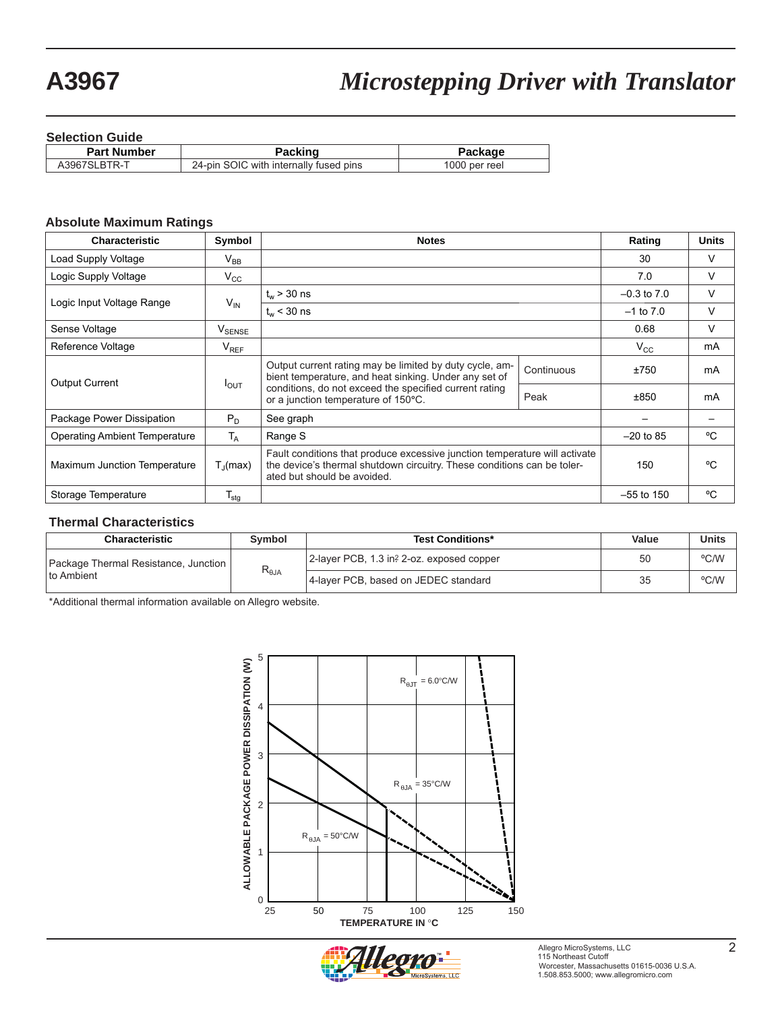# **A3967** *Microstepping Driver with Translator*

#### **Selection Guide**

| _ _ . _ _ _        |                                        |               |  |  |  |  |
|--------------------|----------------------------------------|---------------|--|--|--|--|
| <b>Part Number</b> | Packing                                | Package       |  |  |  |  |
| A3967SLBTR-T       | 24-pin SOIC with internally fused pins | 1000 per reel |  |  |  |  |
|                    |                                        |               |  |  |  |  |

#### **Absolute Maximum Ratings**

| <b>Characteristic</b>                | Symbol                                                                                                           | <b>Notes</b>                                                                                                                                                                         | Rating       | <b>Units</b>    |    |
|--------------------------------------|------------------------------------------------------------------------------------------------------------------|--------------------------------------------------------------------------------------------------------------------------------------------------------------------------------------|--------------|-----------------|----|
| Load Supply Voltage                  | $\mathsf{V}_\mathsf{BB}$                                                                                         |                                                                                                                                                                                      |              | 30              | V  |
| Logic Supply Voltage                 | $V_{\rm CC}$                                                                                                     |                                                                                                                                                                                      |              | 7.0             | V  |
|                                      |                                                                                                                  | $t_{w}$ > 30 ns                                                                                                                                                                      |              | $-0.3$ to $7.0$ | V  |
| Logic Input Voltage Range            | $V_{IN}$                                                                                                         | $t_{w}$ < 30 ns                                                                                                                                                                      |              | $-1$ to $7.0$   | V  |
| Sense Voltage                        | $\mathsf{V}_{\mathsf{SENSE}}$                                                                                    |                                                                                                                                                                                      |              | 0.68            | V  |
| Reference Voltage                    | $V_{REF}$                                                                                                        |                                                                                                                                                                                      |              | $V_{\rm CC}$    | mA |
| <b>Output Current</b>                | Output current rating may be limited by duty cycle, am-<br>bient temperature, and heat sinking. Under any set of |                                                                                                                                                                                      | Continuous   | ±750            | mA |
|                                      | $I_{\text{OUT}}$                                                                                                 | conditions, do not exceed the specified current rating<br>or a junction temperature of 150°C.                                                                                        | Peak         | ±850            | mA |
| Package Power Dissipation            | $P_D$                                                                                                            | See graph                                                                                                                                                                            |              |                 |    |
| <b>Operating Ambient Temperature</b> | $T_A$                                                                                                            | Range S                                                                                                                                                                              | $-20$ to 85  | °C.             |    |
| Maximum Junction Temperature         | $T_{\rm d}$ (max)                                                                                                | Fault conditions that produce excessive junction temperature will activate<br>the device's thermal shutdown circuitry. These conditions can be toler-<br>ated but should be avoided. | 150          | °C              |    |
| Storage Temperature                  | $T_{\text{stg}}$                                                                                                 |                                                                                                                                                                                      | $-55$ to 150 | °C              |    |

#### **Thermal Characteristics**

| <b>Characteristic</b>                | <b>Symbol</b>   | <b>Test Conditions*</b>                   | Value | <b>Units</b> |
|--------------------------------------|-----------------|-------------------------------------------|-------|--------------|
| Package Thermal Resistance, Junction | $R_{\theta JA}$ | 2-layer PCB, 1.3 in? 2-oz. exposed copper | 50    | °C/W         |
| I to Ambient                         |                 | 4-laver PCB, based on JEDEC standard      | つに    | °C/W         |

\*Additional thermal information available on Allegro website.



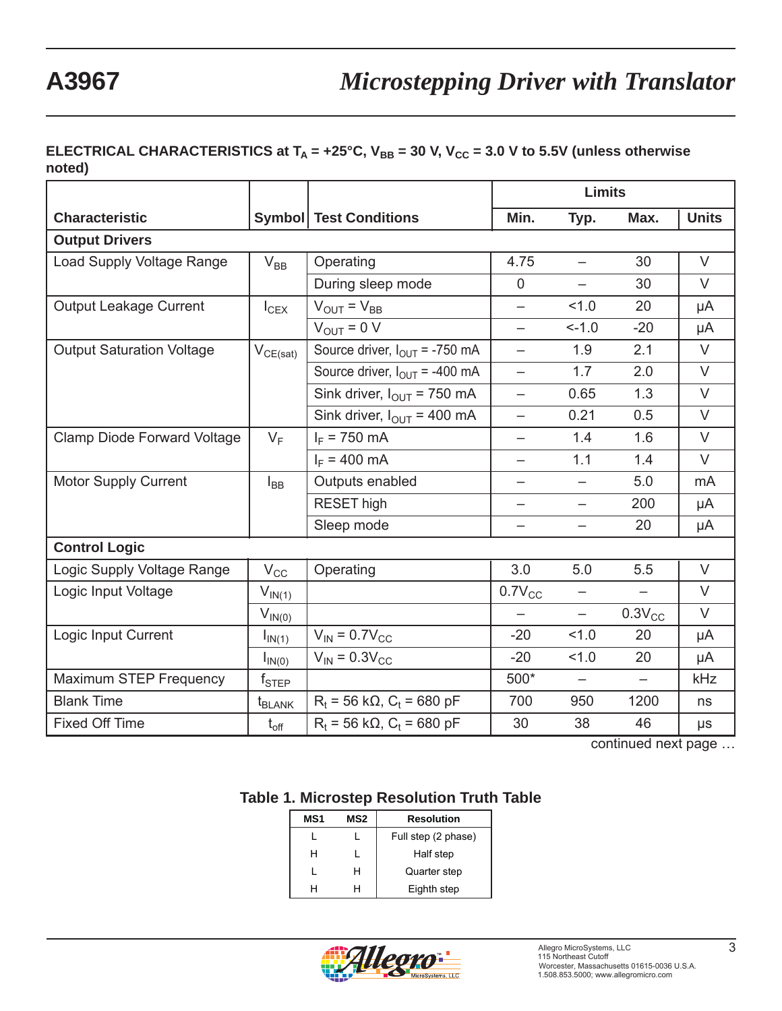## **ELECTRICAL CHARACTERISTICS at**  $T_A = +25^{\circ}C$ **,**  $V_{BB} = 30$  **V,**  $V_{CC} = 3.0$  **V to 5.5V (unless otherwise noted)**

|                                    |                               |                                           | <b>Limits</b>            |                          |                          |              |
|------------------------------------|-------------------------------|-------------------------------------------|--------------------------|--------------------------|--------------------------|--------------|
| <b>Characteristic</b>              |                               | <b>Symbol</b> Test Conditions             | Min.                     | Typ.                     | Max.                     | <b>Units</b> |
| <b>Output Drivers</b>              |                               |                                           |                          |                          |                          |              |
| Load Supply Voltage Range          | $V_{BB}$                      | Operating                                 | 4.75                     | $\equiv$                 | 30                       | $\vee$       |
|                                    |                               | During sleep mode                         | $\overline{0}$           |                          | 30                       | $\vee$       |
| <b>Output Leakage Current</b>      | $I_{CEX}$                     | $V_{\text{OUT}} = V_{\text{BB}}$          | $\overline{\phantom{0}}$ | 1.0                      | 20                       | μA           |
|                                    |                               | $V_{OUT} = 0 V$                           | $\overline{\phantom{0}}$ | $-1.0$                   | $-20$                    | μA           |
| <b>Output Saturation Voltage</b>   | $V_{CE(sat)}$                 | Source driver, $I_{\text{OUT}}$ = -750 mA | $\overline{\phantom{0}}$ | 1.9                      | 2.1                      | $\vee$       |
|                                    |                               | Source driver, $I_{OUT}$ = -400 mA        | $\overline{\phantom{0}}$ | 1.7                      | 2.0                      | $\vee$       |
|                                    |                               | Sink driver, $I_{\text{OUT}}$ = 750 mA    | $\equiv$                 | 0.65                     | 1.3                      | $\vee$       |
|                                    |                               | Sink driver, $I_{\text{OUT}}$ = 400 mA    | $\overline{\phantom{0}}$ | 0.21                     | 0.5                      | $\vee$       |
| <b>Clamp Diode Forward Voltage</b> | $V_F$                         | $I_F$ = 750 mA                            | $\overline{\phantom{0}}$ | 1.4                      | 1.6                      | $\vee$       |
|                                    |                               | $I_F = 400 \text{ mA}$                    | —                        | 1.1                      | 1.4                      | $\vee$       |
| <b>Motor Supply Current</b>        | $I_{BB}$                      | Outputs enabled                           | -                        | $\overline{\phantom{0}}$ | 5.0                      | mA           |
|                                    |                               | <b>RESET high</b>                         | -                        | -                        | 200                      | μA           |
|                                    |                               | Sleep mode                                | —                        | -                        | 20                       | μA           |
| <b>Control Logic</b>               |                               |                                           |                          |                          |                          |              |
| Logic Supply Voltage Range         | $V_{CC}$                      | Operating                                 | 3.0                      | 5.0                      | 5.5                      | V            |
| Logic Input Voltage                | $V_{IN(1)}$                   |                                           | $0.7V_{CC}$              | -                        |                          | V            |
|                                    | $V_{IN(0)}$                   |                                           | $\overline{\phantom{0}}$ | $\overline{\phantom{0}}$ | $0.3V_{CC}$              | V            |
| Logic Input Current                | $I_{IN(1)}$                   | $V_{IN}$ = 0.7 $V_{CC}$                   | $-20$                    | 1.0                      | 20                       | μA           |
|                                    | $I_{IN(0)}$                   | $V_{IN}$ = 0.3 $V_{CC}$                   | $-20$                    | 1.0                      | 20                       | μA           |
| Maximum STEP Frequency             | $f_{\scriptstyle\text{STEP}}$ |                                           | 500*                     | $\overline{\phantom{0}}$ | $\overline{\phantom{0}}$ | kHz          |
| <b>Blank Time</b>                  | $t_{BLANK}$                   | $R_t$ = 56 k $\Omega$ , $C_t$ = 680 pF    | 700                      | 950                      | 1200                     | ns           |
| <b>Fixed Off Time</b>              | $t_{\rm off}$                 | $R_t$ = 56 k $\Omega$ , $C_t$ = 680 pF    | 30                       | 38                       | 46                       | μs           |

continued next page …

## **Table 1. Microstep Resolution Truth Table**

| MS1 | MS2 | <b>Resolution</b>   |
|-----|-----|---------------------|
|     |     | Full step (2 phase) |
| н   |     | Half step           |
|     | н   | Quarter step        |
|     |     | Eighth step         |

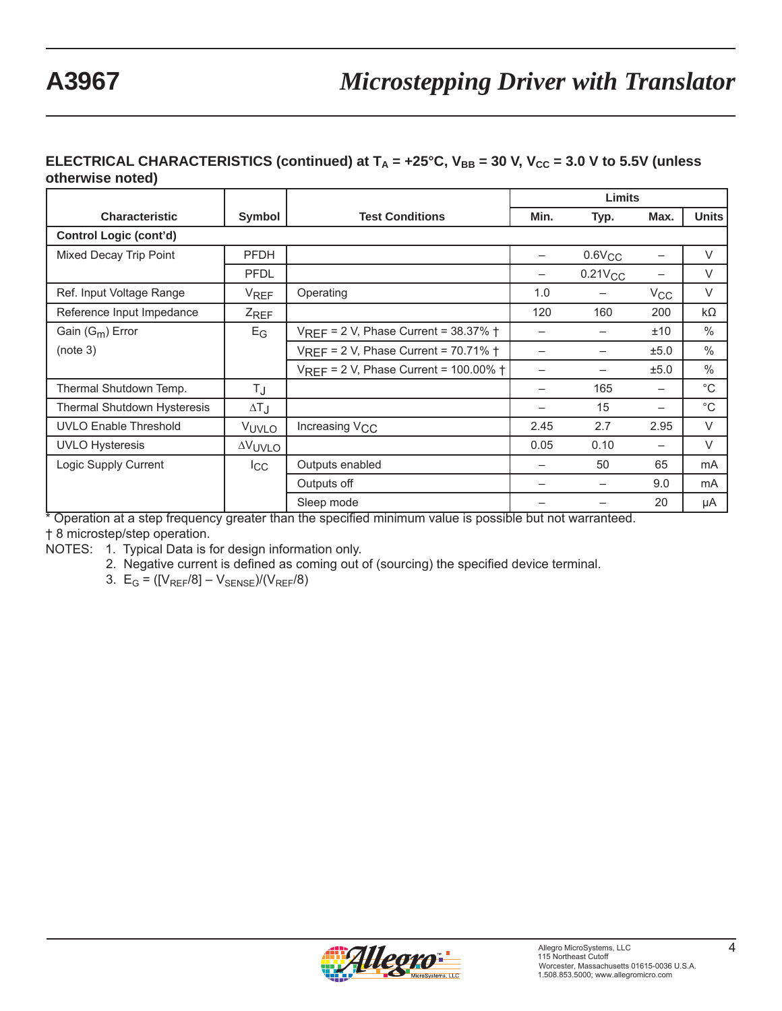### **ELECTRICAL CHARACTERISTICS (continued) at**  $T_A = +25^\circ C$ **,**  $V_{BB} = 30$  **V,**  $V_{CC} = 3.0$  **V to 5.5V (unless otherwise noted)**

|                                                           |               | Limits                                             |      |              |          |               |
|-----------------------------------------------------------|---------------|----------------------------------------------------|------|--------------|----------|---------------|
| <b>Characteristic</b><br><b>Test Conditions</b><br>Symbol |               |                                                    | Min. | Typ.         | Max.     | <b>Units</b>  |
| <b>Control Logic (cont'd)</b>                             |               |                                                    |      |              |          |               |
| Mixed Decay Trip Point                                    | <b>PFDH</b>   |                                                    |      | $0.6$ V $CC$ |          | $\vee$        |
|                                                           | <b>PFDL</b>   |                                                    |      | $0.21V_{CC}$ |          | $\vee$        |
| Ref. Input Voltage Range                                  | <b>VREF</b>   | Operating                                          | 1.0  |              | $V_{CC}$ | $\vee$        |
| Reference Input Impedance                                 | ZREF          |                                                    | 120  | 160          | 200      | $k\Omega$     |
| Gain $(G_m)$ Error                                        | $E_G$         | VREF = 2 V, Phase Current = 38.37% +               |      |              | ±10      | $\frac{0}{0}$ |
| (note 3)                                                  |               | $VREF = 2 V$ , Phase Current = 70.71% $\dagger$    |      |              | ±5.0     | $\%$          |
|                                                           |               | $V_{REF}$ = 2 V, Phase Current = 100.00% $\dagger$ |      |              | ±5.0     | $\%$          |
| Thermal Shutdown Temp.                                    | T.J           |                                                    |      | 165          |          | $^{\circ}C$   |
| Thermal Shutdown Hysteresis                               | ΔT J          |                                                    |      | 15           |          | $^{\circ}C$   |
| <b>UVLO Enable Threshold</b>                              | VUVLO         | Increasing V <sub>CC</sub>                         | 2.45 | 2.7          | 2.95     | $\vee$        |
| <b>UVLO Hysteresis</b>                                    | <b>AVUVLO</b> |                                                    | 0.05 | 0.10         | —        | $\vee$        |
| Logic Supply Current                                      | $_{\rm{lcc}}$ | Outputs enabled                                    |      | 50           | 65       | mA            |
|                                                           |               | Outputs off                                        |      |              | 9.0      | mA            |
|                                                           |               | Sleep mode                                         |      |              | 20       | μA            |

\* Operation at a step frequency greater than the specified minimum value is possible but not warranteed.

† 8 microstep/step operation.

NOTES: 1. Typical Data is for design information only.

2. Negative current is defined as coming out of (sourcing) the specified device terminal.

3.  $E_G = ([V_{REF}/8] - V_{SENSE})/(V_{REF}/8)$ 

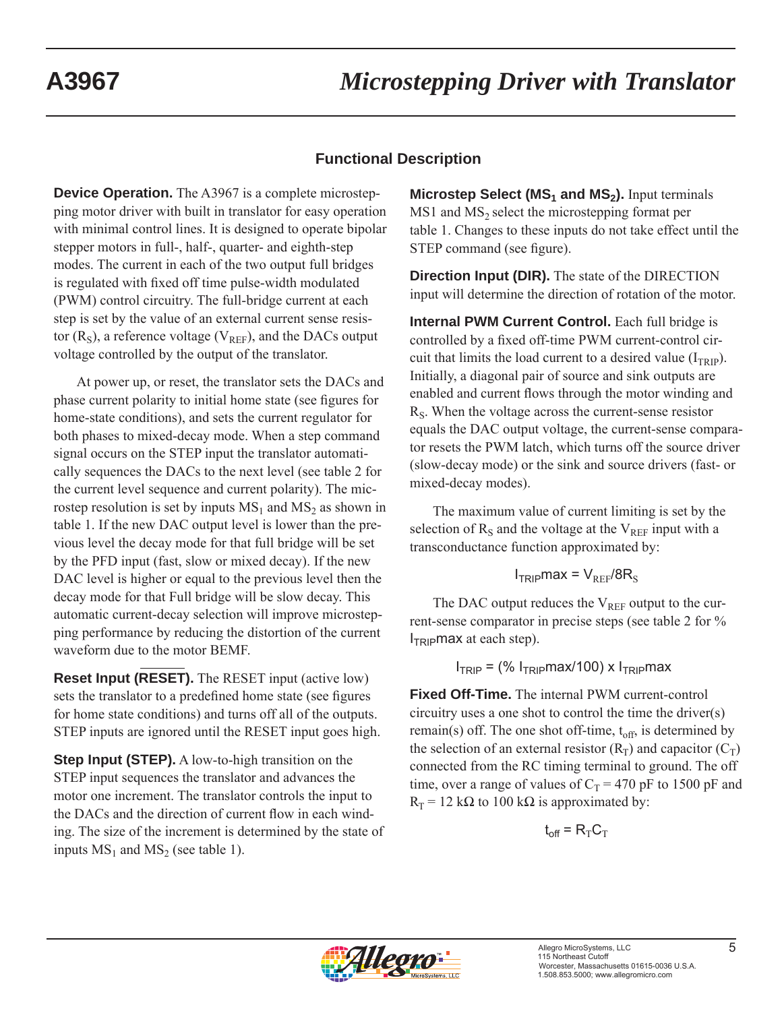# **Functional Description**

**Device Operation.** The A3967 is a complete microstepping motor driver with built in translator for easy operation with minimal control lines. It is designed to operate bipolar stepper motors in full-, half-, quarter- and eighth-step modes. The current in each of the two output full bridges is regulated with fixed off time pulse-width modulated (PWM) control circuitry. The full-bridge current at each step is set by the value of an external current sense resistor ( $R<sub>S</sub>$ ), a reference voltage ( $V<sub>REF</sub>$ ), and the DACs output voltage controlled by the output of the translator.

At power up, or reset, the translator sets the DACs and phase current polarity to initial home state (see figures for home-state conditions), and sets the current regulator for both phases to mixed-decay mode. When a step command signal occurs on the STEP input the translator automatically sequences the DACs to the next level (see table 2 for the current level sequence and current polarity). The microstep resolution is set by inputs  $MS_1$  and  $MS_2$  as shown in table 1. If the new DAC output level is lower than the previous level the decay mode for that full bridge will be set by the PFD input (fast, slow or mixed decay). If the new DAC level is higher or equal to the previous level then the decay mode for that Full bridge will be slow decay. This automatic current-decay selection will improve microstepping performance by reducing the distortion of the current waveform due to the motor BEMF.

**Reset Input (RESET).** The RESET input (active low) sets the translator to a predefined home state (see figures for home state conditions) and turns off all of the outputs. STEP inputs are ignored until the RESET input goes high.

**Step Input (STEP).** A low-to-high transition on the STEP input sequences the translator and advances the motor one increment. The translator controls the input to the DACs and the direction of current flow in each winding. The size of the increment is determined by the state of inputs  $MS_1$  and  $MS_2$  (see table 1).

**Microstep Select (MS<sub>1</sub> and MS<sub>2</sub>).** Input terminals  $MS1$  and  $MS<sub>2</sub>$  select the microstepping format per table 1. Changes to these inputs do not take effect until the STEP command (see figure).

**Direction Input (DIR).** The state of the DIRECTION input will determine the direction of rotation of the motor.

**Internal PWM Current Control.** Each full bridge is controlled by a fixed off-time PWM current-control circuit that limits the load current to a desired value  $(I_{TRIP})$ . Initially, a diagonal pair of source and sink outputs are enabled and current flows through the motor winding and  $R<sub>S</sub>$ . When the voltage across the current-sense resistor equals the DAC output voltage, the current-sense comparator resets the PWM latch, which turns off the source driver (slow-decay mode) or the sink and source drivers (fast- or mixed-decay modes).

The maximum value of current limiting is set by the selection of  $R<sub>S</sub>$  and the voltage at the  $V<sub>REF</sub>$  input with a transconductance function approximated by:

$$
I_{TRIP} \text{max} = V_{REF} / 8R_S
$$

The DAC output reduces the  $V_{REF}$  output to the current-sense comparator in precise steps (see table 2 for %  $I_{TRIP}$ max at each step).

 $I<sub>TRIP</sub> =$  (%  $I<sub>TRIP</sub>max/100$ ) x  $I<sub>TRIP</sub>max$ 

**Fixed Off-Time.** The internal PWM current-control circuitry uses a one shot to control the time the driver(s) remain(s) off. The one shot off-time,  $t_{off}$ , is determined by the selection of an external resistor  $(R_T)$  and capacitor  $(C_T)$ connected from the RC timing terminal to ground. The off time, over a range of values of  $C_T = 470$  pF to 1500 pF and  $R_T$  = 12 kΩ to 100 kΩ is approximated by:

$$
\mathbf{t}_{\text{off}} = \mathbf{R}_{\text{T}} \mathbf{C}_{\text{T}}
$$

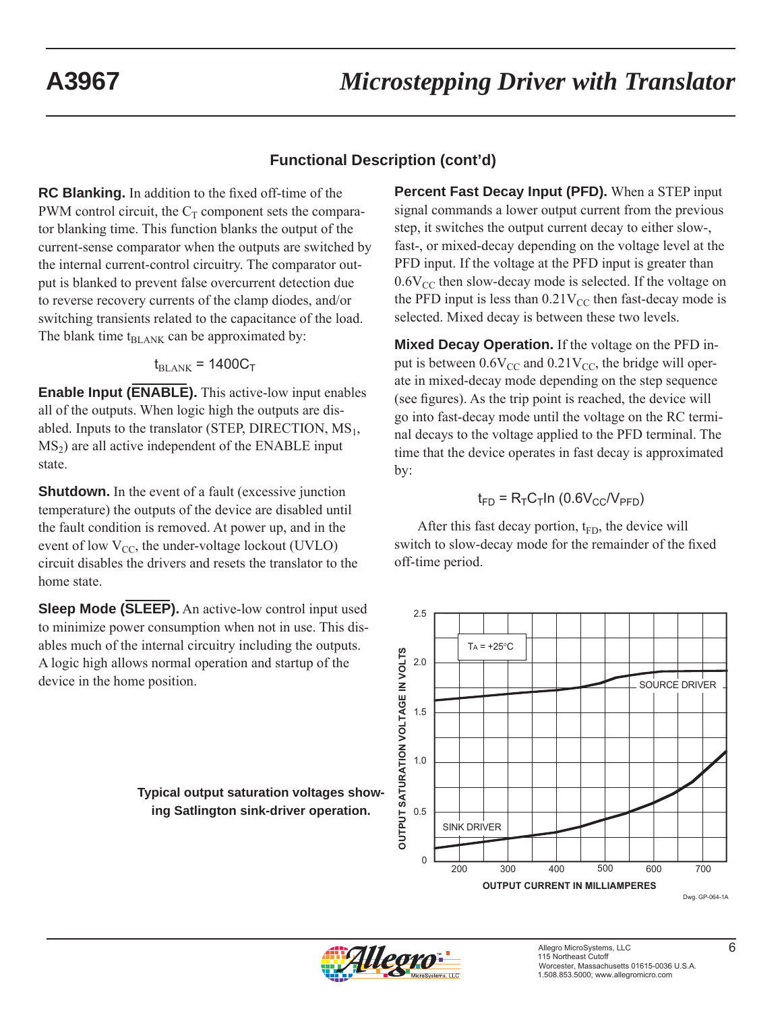# **Functional Description (cont'd)**

**RC Blanking.** In addition to the fixed off-time of the PWM control circuit, the  $C_T$  component sets the comparator blanking time. This function blanks the output of the current-sense comparator when the outputs are switched by the internal current-control circuitry. The comparator output is blanked to prevent false overcurrent detection due to reverse recovery currents of the clamp diodes, and/or switching transients related to the capacitance of the load. The blank time  $t_{BLANK}$  can be approximated by:

$$
\rm t_{BLANK} = 1400 C_T
$$

**Enable Input (ENABLE).** This active-low input enables all of the outputs. When logic high the outputs are disabled. Inputs to the translator (STEP, DIRECTION,  $MS_1$ ,  $MS<sub>2</sub>$ ) are all active independent of the ENABLE input state.

**Shutdown.** In the event of a fault (excessive junction temperature) the outputs of the device are disabled until the fault condition is removed. At power up, and in the event of low  $V_{CC}$ , the under-voltage lockout (UVLO) circuit disables the drivers and resets the translator to the home state.

**Sleep Mode (SLEEP).** An active-low control input used to minimize power consumption when not in use. This disables much of the internal circuitry including the outputs. A logic high allows normal operation and startup of the device in the home position.

> **Typical output saturation voltages showing Satlington sink-driver operation.**

**Percent Fast Decay Input (PFD).** When a STEP input signal commands a lower output current from the previous step, it switches the output current decay to either slow-, fast-, or mixed-decay depending on the voltage level at the PFD input. If the voltage at the PFD input is greater than  $0.6V_{\text{CC}}$  then slow-decay mode is selected. If the voltage on the PFD input is less than  $0.21V_{CC}$  then fast-decay mode is selected. Mixed decay is between these two levels.

**Mixed Decay Operation.** If the voltage on the PFD input is between  $0.6V_{CC}$  and  $0.21V_{CC}$ , the bridge will operate in mixed-decay mode depending on the step sequence (see figures). As the trip point is reached, the device will go into fast-decay mode until the voltage on the RC terminal decays to the voltage applied to the PFD terminal. The time that the device operates in fast decay is approximated by:

$$
t_{FD} = R_T C_T \ln (0.6 V_{CC}/V_{PFD})
$$

After this fast decay portion,  $t_{FD}$ , the device will switch to slow-decay mode for the remainder of the fixed off-time period.



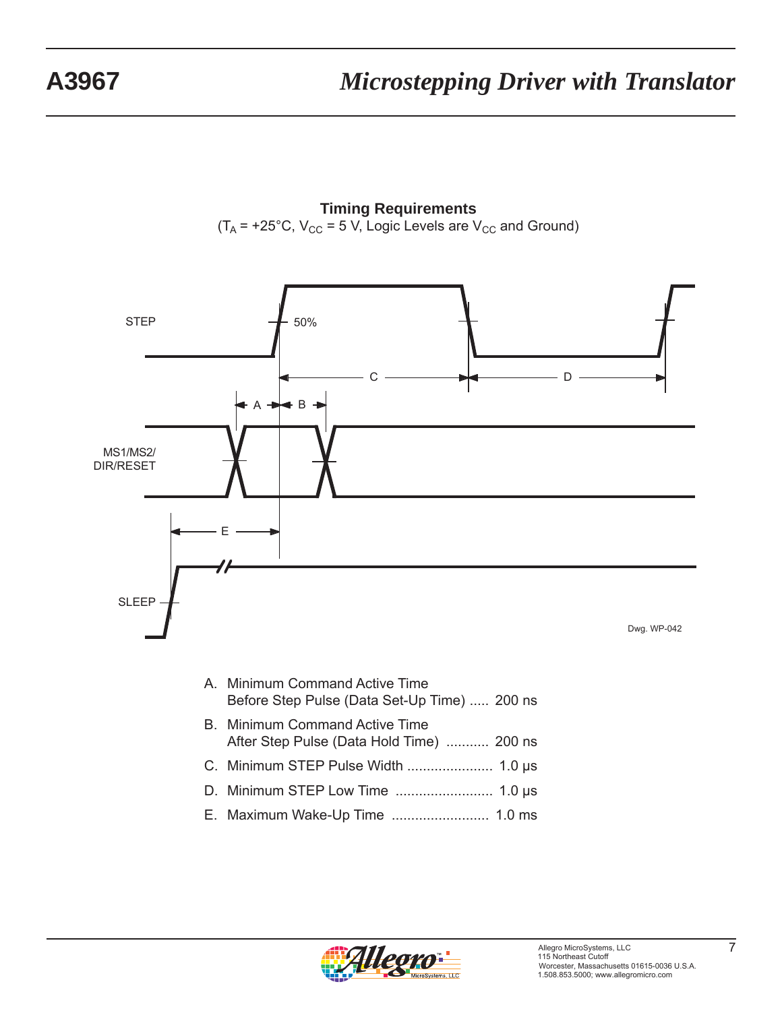# **A3967** *Microstepping Driver with Translator*

**Timing Requirements**  $(T_A = +25^{\circ}C, V_{CC} = 5 V,$  Logic Levels are  $V_{CC}$  and Ground)



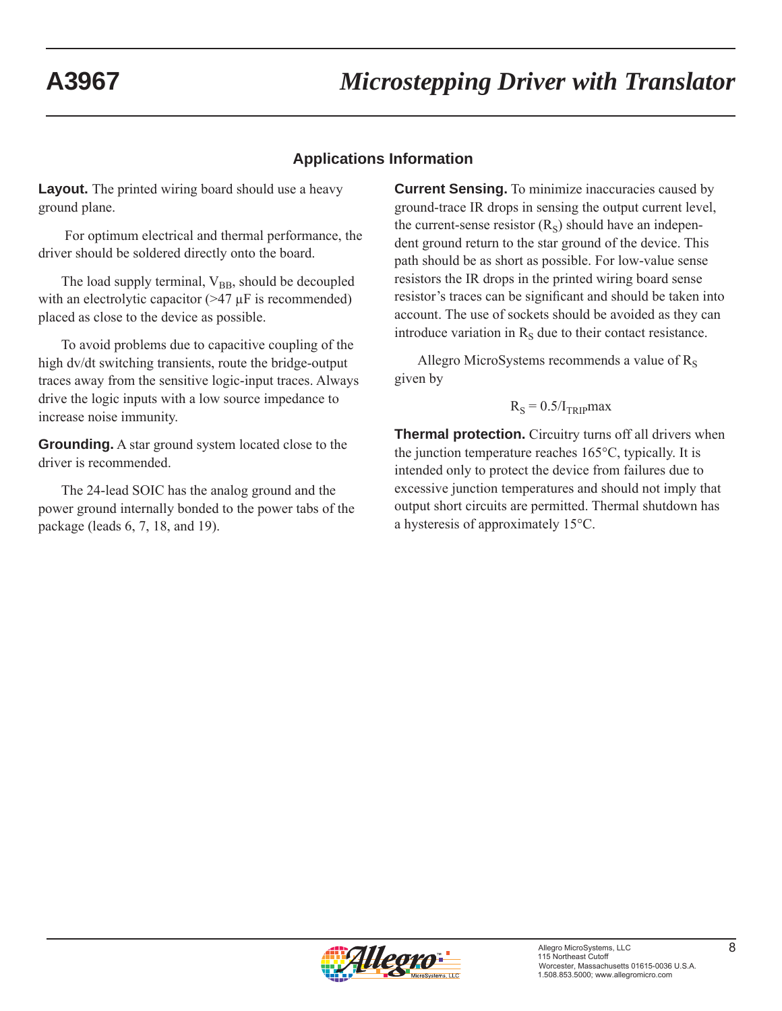## **Applications Information**

**Layout.** The printed wiring board should use a heavy ground plane.

 For optimum electrical and thermal performance, the driver should be soldered directly onto the board.

The load supply terminal,  $V_{BB}$ , should be decoupled with an electrolytic capacitor  $(>= 47 \mu$ F is recommended) placed as close to the device as possible.

To avoid problems due to capacitive coupling of the high dv/dt switching transients, route the bridge-output traces away from the sensitive logic-input traces. Always drive the logic inputs with a low source impedance to increase noise immunity.

**Grounding.** A star ground system located close to the driver is recommended.

The 24-lead SOIC has the analog ground and the power ground internally bonded to the power tabs of the package (leads 6, 7, 18, and 19).

**Current Sensing.** To minimize inaccuracies caused by ground-trace IR drops in sensing the output current level, the current-sense resistor  $(R<sub>S</sub>)$  should have an independent ground return to the star ground of the device. This path should be as short as possible. For low-value sense resistors the IR drops in the printed wiring board sense resistor's traces can be significant and should be taken into account. The use of sockets should be avoided as they can introduce variation in  $R<sub>S</sub>$  due to their contact resistance.

Allegro MicroSystems recommends a value of  $R<sub>s</sub>$ given by

$$
R_S = 0.5/I_{TRIP}max
$$

**Thermal protection.** Circuitry turns off all drivers when the junction temperature reaches 165°C, typically. It is intended only to protect the device from failures due to excessive junction temperatures and should not imply that output short circuits are permitted. Thermal shutdown has a hysteresis of approximately 15°C.

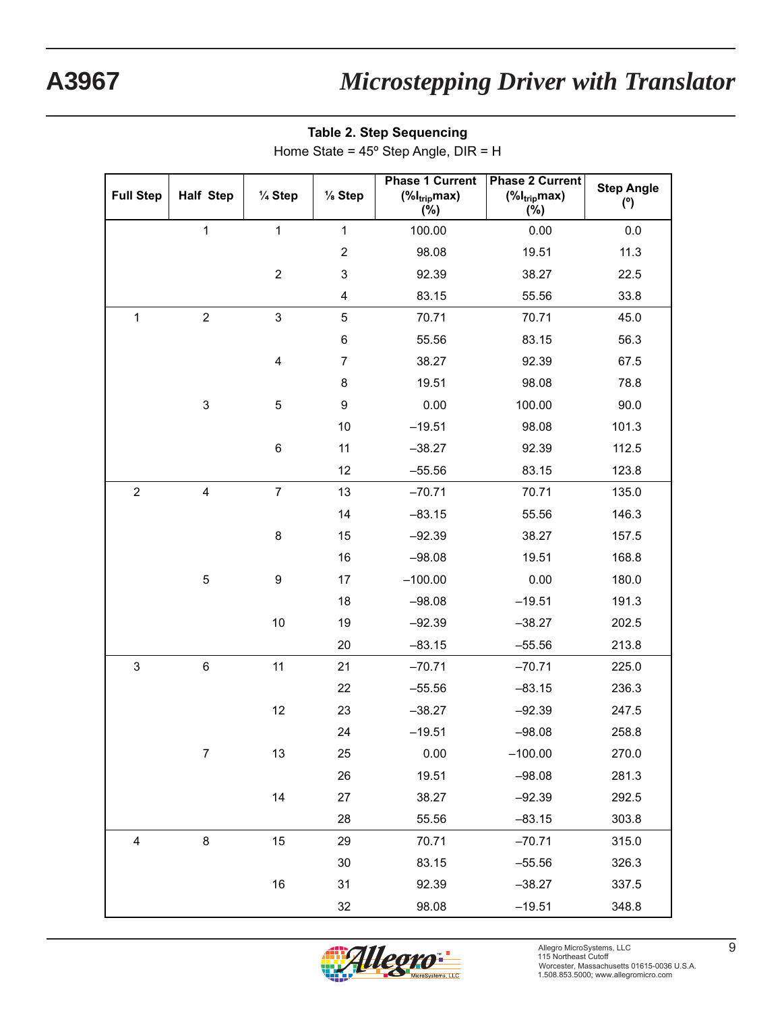| <b>Full Step</b> | <b>Half Step</b>          | $\frac{1}{4}$ Step | $\frac{1}{8}$ Step | <b>Phase 1 Current</b><br>$(\%I_{trip}$ max)<br>$(\%)$ | <b>Phase 2 Current</b><br>$(\%I_{trip}$ max)<br>(%) | <b>Step Angle</b><br>(°) |
|------------------|---------------------------|--------------------|--------------------|--------------------------------------------------------|-----------------------------------------------------|--------------------------|
|                  | $\mathbf{1}$              | $\mathbf{1}$       | $\mathbf{1}$       | 100.00                                                 | 0.00                                                | 0.0                      |
|                  |                           |                    | $\overline{2}$     | 98.08                                                  | 19.51                                               | 11.3                     |
|                  |                           | $\boldsymbol{2}$   | 3                  | 92.39                                                  | 38.27                                               | 22.5                     |
|                  |                           |                    | 4                  | 83.15                                                  | 55.56                                               | 33.8                     |
| $\mathbf 1$      | $\overline{2}$            | 3                  | 5                  | 70.71                                                  | 70.71                                               | 45.0                     |
|                  |                           |                    | $\,6$              | 55.56                                                  | 83.15                                               | 56.3                     |
|                  |                           | 4                  | $\overline{7}$     | 38.27                                                  | 92.39                                               | 67.5                     |
|                  |                           |                    | 8                  | 19.51                                                  | 98.08                                               | 78.8                     |
|                  | $\ensuremath{\mathsf{3}}$ | 5                  | 9                  | 0.00                                                   | 100.00                                              | 90.0                     |
|                  |                           |                    | 10                 | $-19.51$                                               | 98.08                                               | 101.3                    |
|                  |                           | 6                  | 11                 | $-38.27$                                               | 92.39                                               | 112.5                    |
|                  |                           |                    | 12                 | $-55.56$                                               | 83.15                                               | 123.8                    |
| $\overline{2}$   | $\overline{\mathbf{4}}$   | $\overline{7}$     | 13                 | $-70.71$                                               | 70.71                                               | 135.0                    |
|                  |                           |                    | 14                 | $-83.15$                                               | 55.56                                               | 146.3                    |
|                  |                           | 8                  | 15                 | $-92.39$                                               | 38.27                                               | 157.5                    |
|                  |                           |                    | 16                 | $-98.08$                                               | 19.51                                               | 168.8                    |
|                  | 5                         | $\boldsymbol{9}$   | 17                 | $-100.00$                                              | 0.00                                                | 180.0                    |
|                  |                           |                    | 18                 | $-98.08$                                               | $-19.51$                                            | 191.3                    |
|                  |                           | 10                 | 19                 | $-92.39$                                               | $-38.27$                                            | 202.5                    |
|                  |                           |                    | 20                 | $-83.15$                                               | $-55.56$                                            | 213.8                    |
| 3                | $\,6$                     | 11                 | 21                 | $-70.71$                                               | $-70.71$                                            | 225.0                    |
|                  |                           |                    | 22                 | $-55.56$                                               | $-83.15$                                            | 236.3                    |
|                  |                           | 12                 | 23                 | $-38.27$                                               | $-92.39$                                            | 247.5                    |
|                  |                           |                    | 24                 | $-19.51$                                               | $-98.08$                                            | 258.8                    |
|                  | $\overline{7}$            | 13                 | 25                 | 0.00                                                   | $-100.00$                                           | 270.0                    |
|                  |                           |                    | 26                 | 19.51                                                  | $-98.08$                                            | 281.3                    |
|                  |                           | 14                 | 27                 | 38.27                                                  | $-92.39$                                            | 292.5                    |
|                  |                           |                    | 28                 | 55.56                                                  | $-83.15$                                            | 303.8                    |
| 4                | $\,8\,$                   | 15                 | 29                 | 70.71                                                  | $-70.71$                                            | 315.0                    |
|                  |                           |                    | 30                 | 83.15                                                  | $-55.56$                                            | 326.3                    |
|                  |                           | 16                 | 31                 | 92.39                                                  | $-38.27$                                            | 337.5                    |
|                  |                           |                    | 32                 | 98.08                                                  | $-19.51$                                            | 348.8                    |

**Table 2. Step Step Apple DI** 

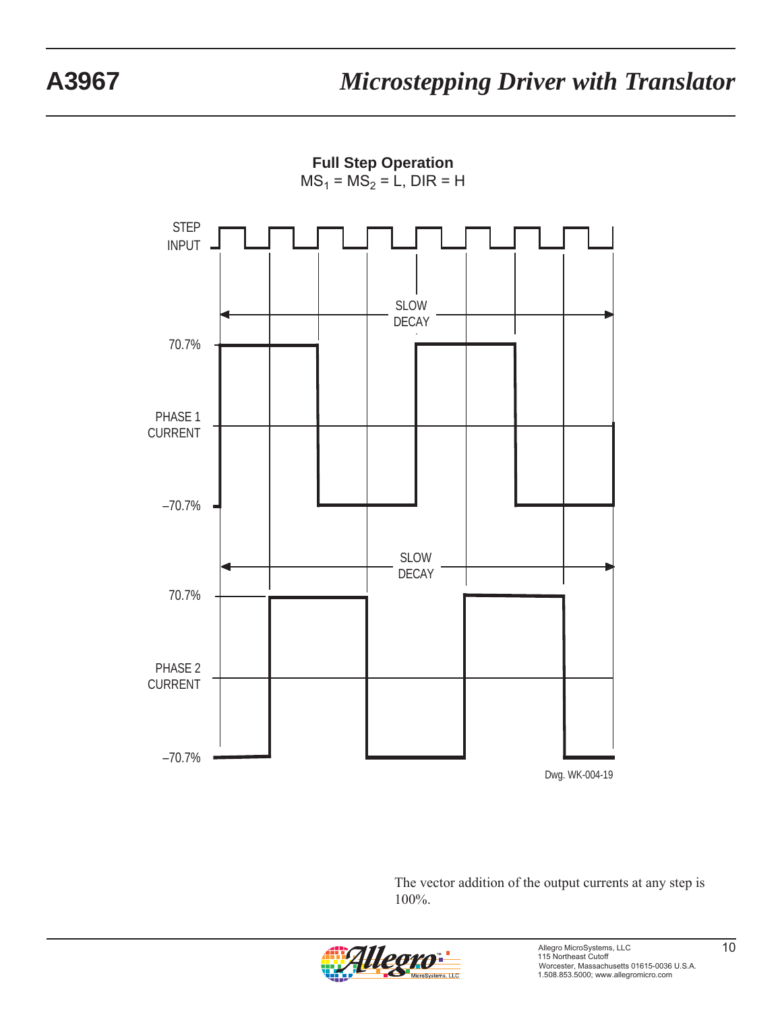**Full Step Operation**  $MS_1 = MS_2 = L$ , DIR = H



The vector addition of the output currents at any step is 100%.

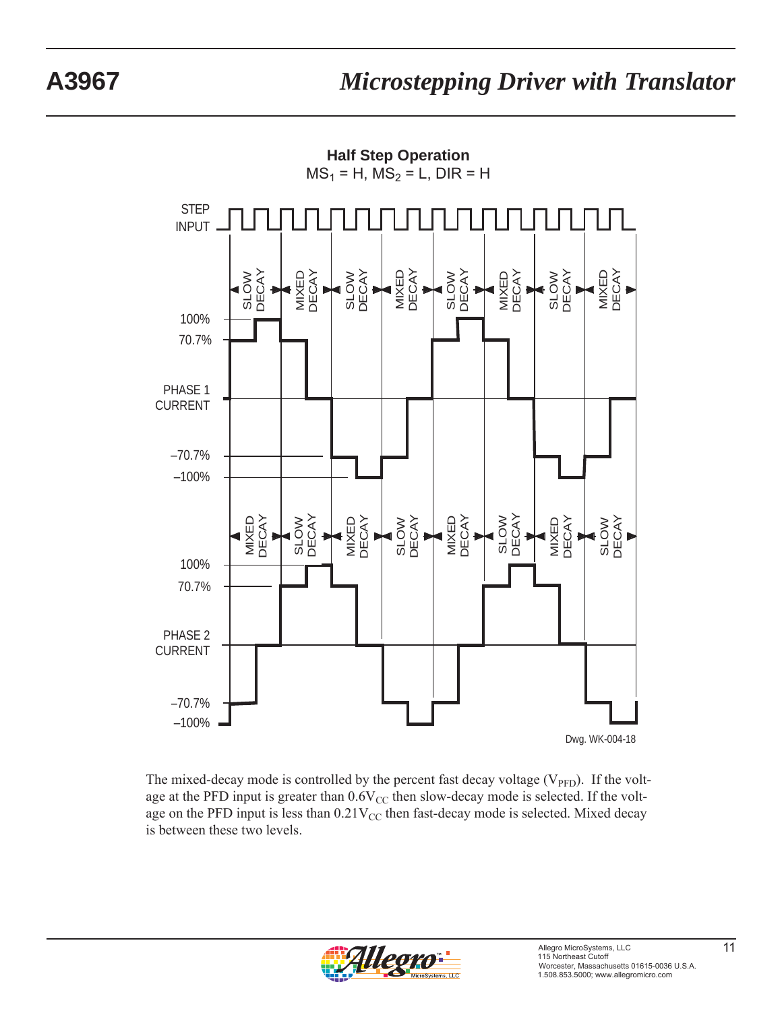

The mixed-decay mode is controlled by the percent fast decay voltage  $(V_{\text{PFD}})$ . If the voltage at the PFD input is greater than  $0.6V_{CC}$  then slow-decay mode is selected. If the voltage on the PFD input is less than  $0.21V_{CC}$  then fast-decay mode is selected. Mixed decay is between these two levels.

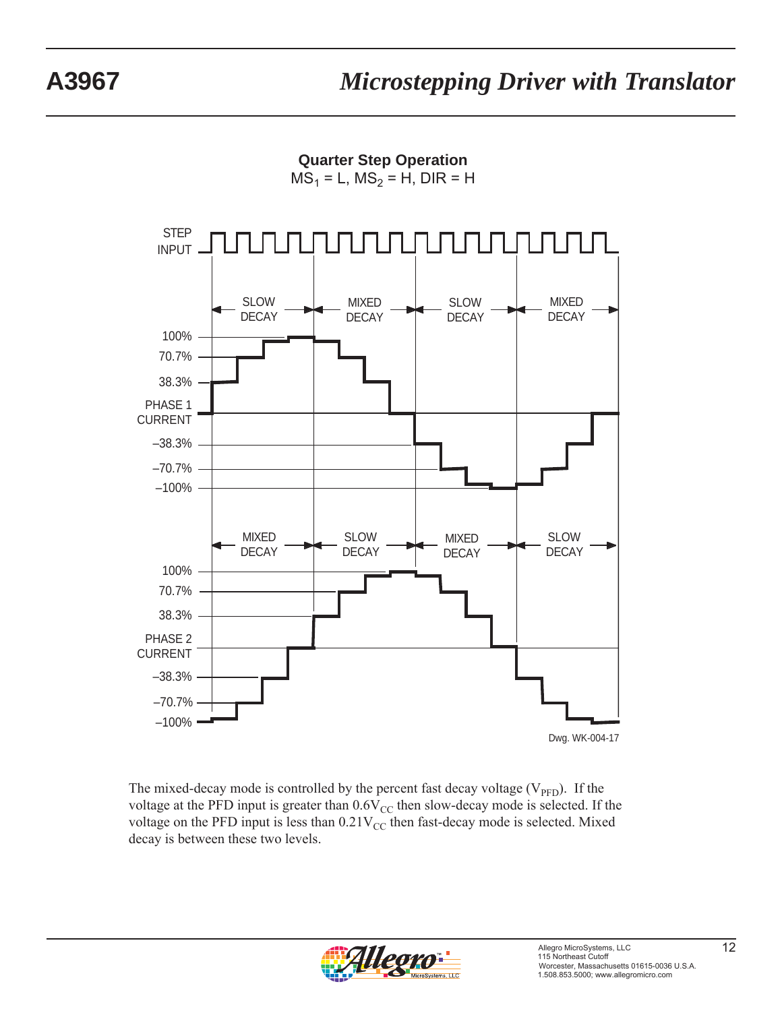**Quarter Step Operation**  $MS_1 = L$ ,  $MS_2 = H$ , DIR = H



The mixed-decay mode is controlled by the percent fast decay voltage  $(V_{\text{PFD}})$ . If the voltage at the PFD input is greater than  $0.6V_{CC}$  then slow-decay mode is selected. If the voltage on the PFD input is less than  $0.21V_{CC}$  then fast-decay mode is selected. Mixed decay is between these two levels.

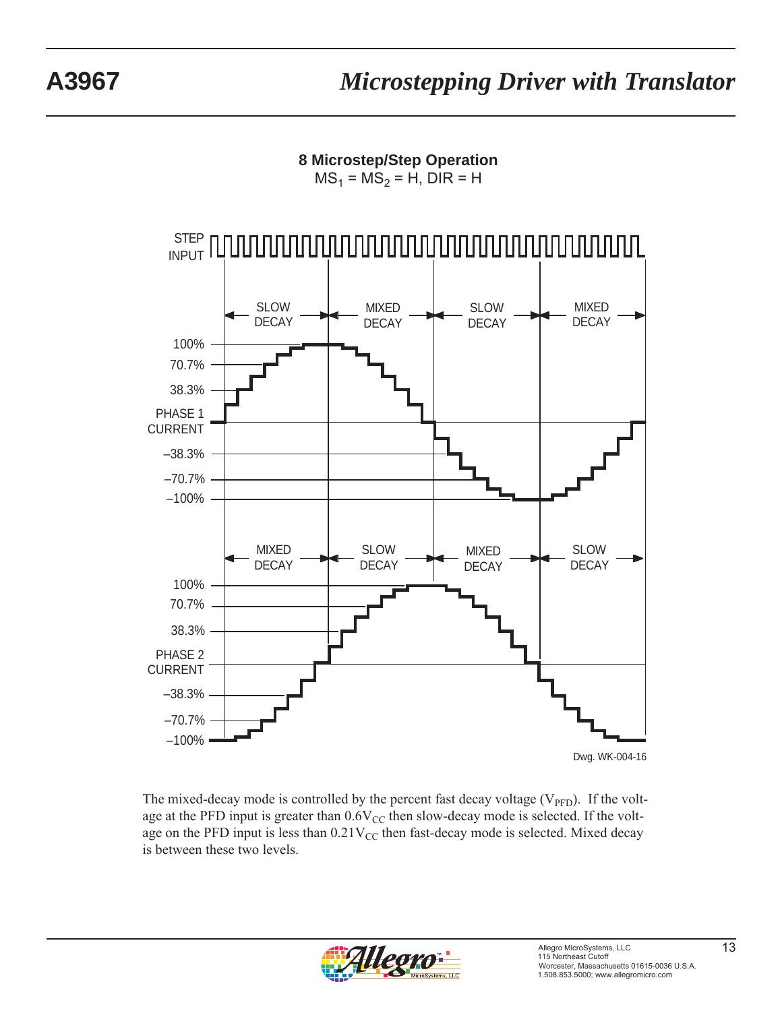**8 Microstep/Step Operation**  $MS_1 = MS_2 = H$ , DIR = H



The mixed-decay mode is controlled by the percent fast decay voltage  $(V_{\text{PFD}})$ . If the voltage at the PFD input is greater than  $0.6V_{CC}$  then slow-decay mode is selected. If the voltage on the PFD input is less than  $0.21V_{CC}$  then fast-decay mode is selected. Mixed decay is between these two levels.

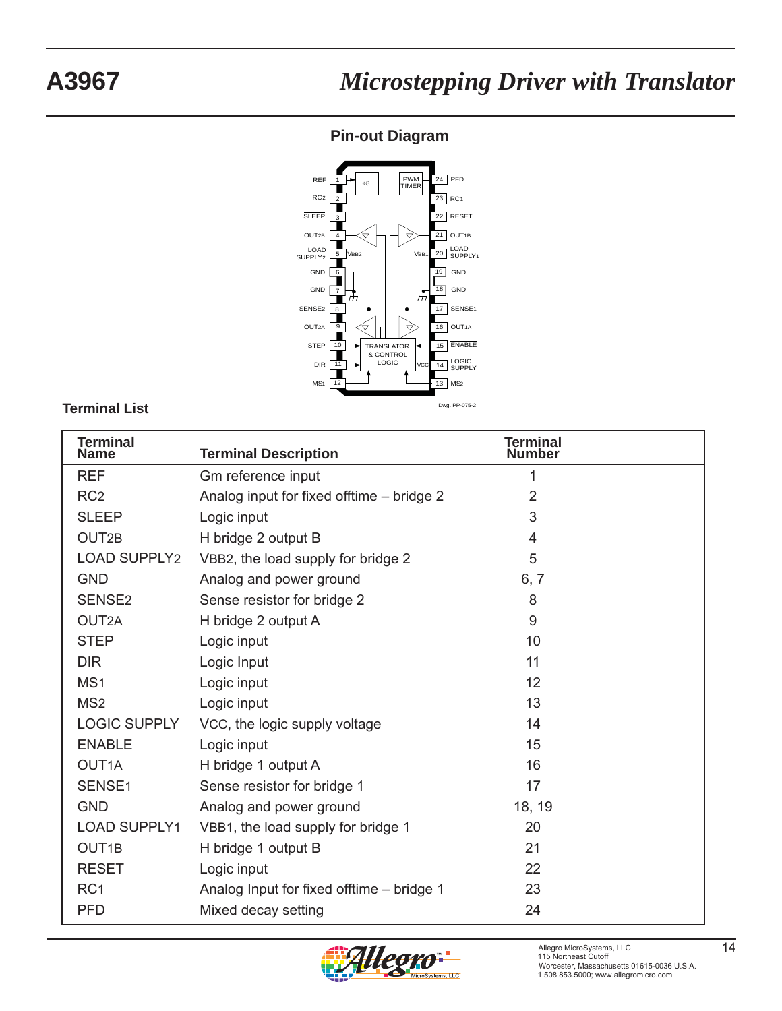# **A3967** *Microstepping Driver with Translator*

# **Pin-out Diagram**



### **Terminal List**

| <b>Terminal</b><br><b>Name</b> | <b>Terminal Description</b>               | <b>Terminal</b><br><b>Number</b> |
|--------------------------------|-------------------------------------------|----------------------------------|
| <b>REF</b>                     | Gm reference input                        | 1                                |
| RC <sub>2</sub>                | Analog input for fixed offtime - bridge 2 | $\overline{2}$                   |
| <b>SLEEP</b>                   | Logic input                               | 3                                |
| OUT <sub>2B</sub>              | H bridge 2 output B                       | $\overline{4}$                   |
| <b>LOAD SUPPLY2</b>            | VBB2, the load supply for bridge 2        | 5                                |
| <b>GND</b>                     | Analog and power ground                   | 6, 7                             |
| SENSE <sub>2</sub>             | Sense resistor for bridge 2               | 8                                |
| OUT2A                          | H bridge 2 output A                       | 9                                |
| <b>STEP</b>                    | Logic input                               | 10                               |
| <b>DIR</b>                     | Logic Input                               | 11                               |
| MS <sub>1</sub>                | Logic input                               | 12                               |
| MS <sub>2</sub>                | Logic input                               | 13                               |
| <b>LOGIC SUPPLY</b>            | VCC, the logic supply voltage             | 14                               |
| <b>ENABLE</b>                  | Logic input                               | 15                               |
| OUT <sub>1</sub> A             | H bridge 1 output A                       | 16                               |
| SENSE <sub>1</sub>             | Sense resistor for bridge 1               | 17                               |
| <b>GND</b>                     | Analog and power ground                   | 18, 19                           |
| <b>LOAD SUPPLY1</b>            | VBB1, the load supply for bridge 1        | 20                               |
| OUT <sub>1B</sub>              | H bridge 1 output B                       | 21                               |
| <b>RESET</b>                   | Logic input                               | 22                               |
| RC <sub>1</sub>                | Analog Input for fixed offtime - bridge 1 | 23                               |
| <b>PFD</b>                     | Mixed decay setting                       | 24                               |